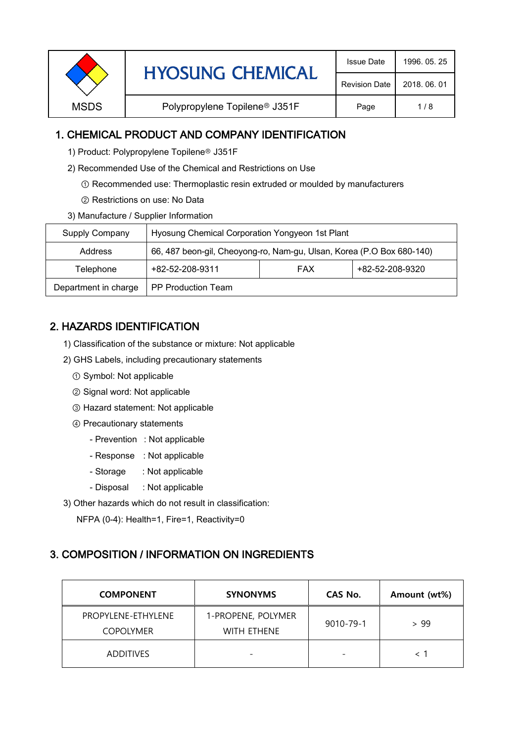| <b>Revision Date</b><br>2018, 06, 01<br>Polypropylene Topilene <sup>®</sup> J351F<br><b>MSDS</b><br>1/8<br>Page |  | <b>HYOSUNG CHEMICAL</b> | <b>Issue Date</b> | 1996, 05, 25 |
|-----------------------------------------------------------------------------------------------------------------|--|-------------------------|-------------------|--------------|
|                                                                                                                 |  |                         |                   |              |
|                                                                                                                 |  |                         |                   |              |

### 1. CHEMICAL PRODUCT AND COMPANY IDENTIFICATION

- 1) Product: Polypropylene Topilene<sup>®</sup> J351F
- 2) Recommended Use of the Chemical and Restrictions on Use
	- ① Recommended use: Thermoplastic resin extruded or moulded by manufacturers
	- ② Restrictions on use: No Data
- 3) Manufacture / Supplier Information

| Supply Company       | Hyosung Chemical Corporation Yongyeon 1st Plant                       |            |                 |  |
|----------------------|-----------------------------------------------------------------------|------------|-----------------|--|
| Address              | 66, 487 beon-gil, Cheoyong-ro, Nam-gu, Ulsan, Korea (P.O Box 680-140) |            |                 |  |
| Telephone            | +82-52-208-9311                                                       | <b>FAX</b> | +82-52-208-9320 |  |
| Department in charge | <b>PP Production Team</b>                                             |            |                 |  |

# 2. HAZARDS IDENTIFICATION

- 1) Classification of the substance or mixture: Not applicable
- 2) GHS Labels, including precautionary statements
	- ① Symbol: Not applicable
	- ② Signal word: Not applicable
	- ③ Hazard statement: Not applicable
	- ④ Precautionary statements
		- Prevention : Not applicable
		- Response : Not applicable
		- Storage : Not applicable
		- Disposal : Not applicable
- 3) Other hazards which do not result in classification:

NFPA (0-4): Health=1, Fire=1, Reactivity=0

#### 3. COMPOSITION / INFORMATION ON INGREDIENTS

| <b>COMPONENT</b>                       | <b>SYNONYMS</b>                          | CAS No.   | Amount (wt%) |
|----------------------------------------|------------------------------------------|-----------|--------------|
| PROPYLENE-ETHYLENE<br><b>COPOLYMER</b> | 1-PROPENE, POLYMER<br><b>WITH ETHENE</b> | 9010-79-1 | > 99         |
| <b>ADDITIVES</b>                       |                                          |           |              |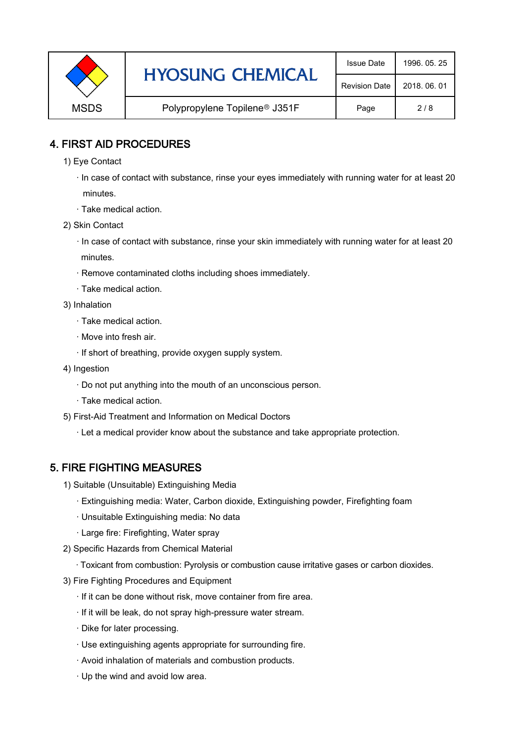|             | <b>HYOSUNG CHEMICAL</b>                   | <b>Issue Date</b>    | 1996, 05, 25 |
|-------------|-------------------------------------------|----------------------|--------------|
|             |                                           | <b>Revision Date</b> | 2018, 06, 01 |
| <b>MSDS</b> | Polypropylene Topilene <sup>®</sup> J351F | Page                 | 2/8          |

### 4. FIRST AID PROCEDURES

1) Eye Contact

 · In case of contact with substance, rinse your eyes immediately with running water for at least 20 minutes.

- · Take medical action.
- 2) Skin Contact
	- · In case of contact with substance, rinse your skin immediately with running water for at least 20 minutes.
	- · Remove contaminated cloths including shoes immediately.
	- · Take medical action.
- 3) Inhalation
	- · Take medical action.
	- · Move into fresh air.
	- · If short of breathing, provide oxygen supply system.
- 4) Ingestion
	- · Do not put anything into the mouth of an unconscious person.
	- · Take medical action.
- 5) First-Aid Treatment and Information on Medical Doctors
	- · Let a medical provider know about the substance and take appropriate protection.

#### 5. FIRE FIGHTING MEASURES

- 1) Suitable (Unsuitable) Extinguishing Media
	- · Extinguishing media: Water, Carbon dioxide, Extinguishing powder, Firefighting foam
	- · Unsuitable Extinguishing media: No data
	- · Large fire: Firefighting, Water spray
- 2) Specific Hazards from Chemical Material
	- · Toxicant from combustion: Pyrolysis or combustion cause irritative gases or carbon dioxides.
- 3) Fire Fighting Procedures and Equipment
	- · If it can be done without risk, move container from fire area.
	- · If it will be leak, do not spray high-pressure water stream.
	- · Dike for later processing.
	- · Use extinguishing agents appropriate for surrounding fire.
	- · Avoid inhalation of materials and combustion products.
	- · Up the wind and avoid low area.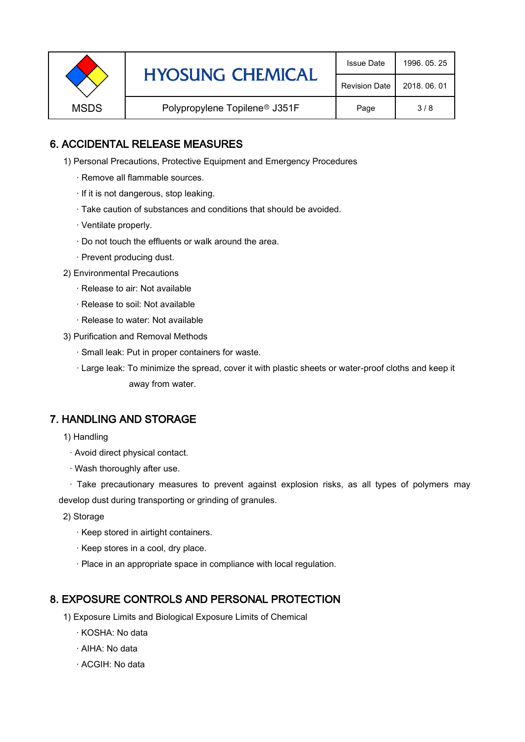|             | <b>HYOSUNG CHEMICAL</b>                   | <b>Issue Date</b>    | 1996, 05, 25 |
|-------------|-------------------------------------------|----------------------|--------------|
|             |                                           | <b>Revision Date</b> | 2018, 06, 01 |
| <b>MSDS</b> | Polypropylene Topilene <sup>®</sup> J351F | Page                 | 3/8          |

### 6. ACCIDENTAL RELEASE MEASURES

- 1) Personal Precautions, Protective Equipment and Emergency Procedures
	- · Remove all flammable sources.
	- · If it is not dangerous, stop leaking.
	- · Take caution of substances and conditions that should be avoided.
	- · Ventilate properly.
	- · Do not touch the effluents or walk around the area.
	- · Prevent producing dust.
- 2) Environmental Precautions
	- · Release to air: Not available
	- · Release to soil: Not available
	- · Release to water: Not available
- 3) Purification and Removal Methods
	- · Small leak: Put in proper containers for waste.
	- ,· Large leak: To minimize the spread, cover it with plastic sheets or water-proof cloths and keep it away from water.

#### 7. HANDLING AND STORAGE

- 1) Handling
	- · Avoid direct physical contact.
	- · Wash thoroughly after use.

· Take precautionary measures to prevent against explosion risks, as all types of polymers may develop dust during transporting or grinding of granules.

- 2) Storage
	- · Keep stored in airtight containers.
	- · Keep stores in a cool, dry place.
	- · Place in an appropriate space in compliance with local regulation.

#### 8. EXPOSURE CONTROLS AND PERSONAL PROTECTION

- 1) Exposure Limits and Biological Exposure Limits of Chemical
	- · KOSHA: No data
	- · AIHA: No data
	- · ACGIH: No data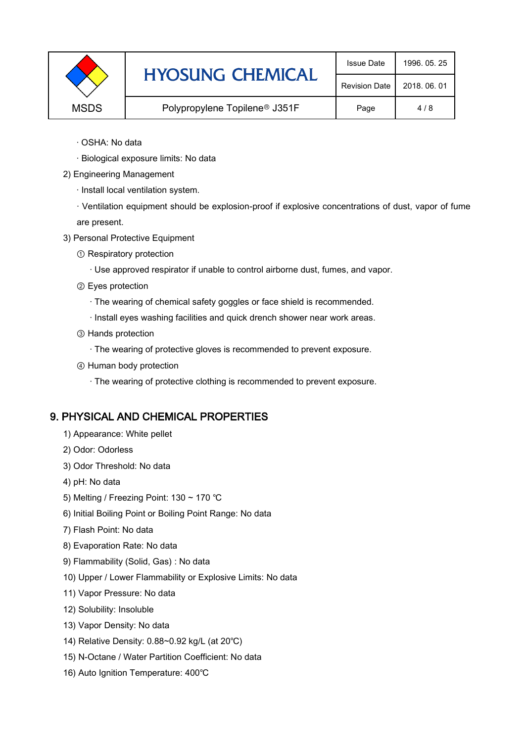|             | <b>HYOSUNG CHEMICAL</b>                   | <b>Issue Date</b>    | 1996, 05, 25 |
|-------------|-------------------------------------------|----------------------|--------------|
|             |                                           | <b>Revision Date</b> | 2018, 06, 01 |
| <b>MSDS</b> | Polypropylene Topilene <sup>®</sup> J351F | Page                 | 4/8          |

- · OSHA: No data
- · Biological exposure limits: No data
- 2) Engineering Management
	- · Install local ventilation system.

· Ventilation equipment should be explosion-proof if explosive concentrations of dust, vapor of fume are present.

- 3) Personal Protective Equipment
	- ① Respiratory protection
		- · Use approved respirator if unable to control airborne dust, fumes, and vapor.
	- ② Eyes protection
		- · The wearing of chemical safety goggles or face shield is recommended.
		- · Install eyes washing facilities and quick drench shower near work areas.
	- ③ Hands protection
		- · The wearing of protective gloves is recommended to prevent exposure.
	- ④ Human body protection
		- · The wearing of protective clothing is recommended to prevent exposure.

## 9. PHYSICAL AND CHEMICAL PROPERTIES

- 1) Appearance: White pellet
- 2) Odor: Odorless
- 3) Odor Threshold: No data
- 4) pH: No data
- 5) Melting / Freezing Point: 130 ~ 170 ℃
- 6) Initial Boiling Point or Boiling Point Range: No data
- 7) Flash Point: No data
- 8) Evaporation Rate: No data
- 9) Flammability (Solid, Gas) : No data
- 10) Upper / Lower Flammability or Explosive Limits: No data
- 11) Vapor Pressure: No data
- 12) Solubility: Insoluble
- 13) Vapor Density: No data
- 14) Relative Density: 0.88~0.92 kg/L (at 20℃)
- 15) N-Octane / Water Partition Coefficient: No data
- 16) Auto Ignition Temperature: 400℃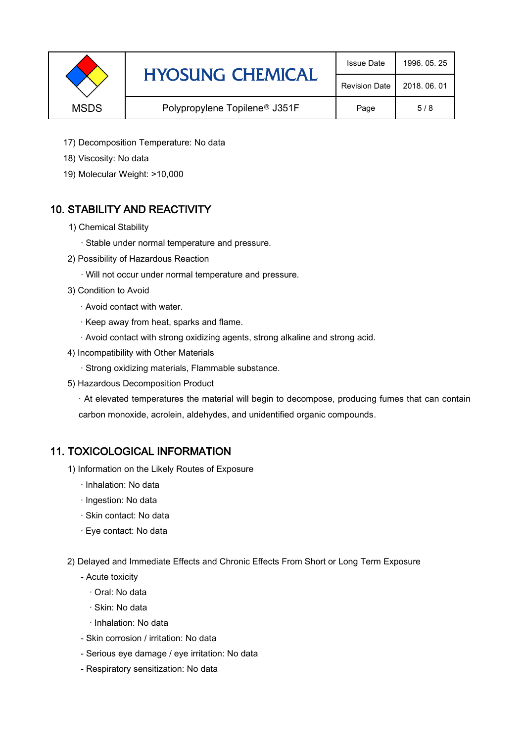|             | <b>HYOSUNG CHEMICAL</b>       | <b>Issue Date</b>    | 1996, 05, 25 |
|-------------|-------------------------------|----------------------|--------------|
|             |                               | <b>Revision Date</b> | 2018, 06, 01 |
| <b>MSDS</b> | Polypropylene Topilene® J351F | Page                 | 5/8          |

- 17) Decomposition Temperature: No data
- 18) Viscosity: No data
- 19) Molecular Weight: >10,000

## 10. STABILITY AND REACTIVITY

- 1) Chemical Stability
	- · Stable under normal temperature and pressure.
- 2) Possibility of Hazardous Reaction
	- · Will not occur under normal temperature and pressure.
- 3) Condition to Avoid
	- · Avoid contact with water.
	- · Keep away from heat, sparks and flame.
	- · Avoid contact with strong oxidizing agents, strong alkaline and strong acid.
- 4) Incompatibility with Other Materials
	- · Strong oxidizing materials, Flammable substance.
- 5) Hazardous Decomposition Product

· At elevated temperatures the material will begin to decompose, producing fumes that can contain carbon monoxide, acrolein, aldehydes, and unidentified organic compounds.

#### 11. TOXICOLOGICAL INFORMATION

- 1) Information on the Likely Routes of Exposure
	- · Inhalation: No data
	- · Ingestion: No data
	- · Skin contact: No data
	- · Eye contact: No data
- 2) Delayed and Immediate Effects and Chronic Effects From Short or Long Term Exposure
	- Acute toxicity
		- · Oral: No data
		- · Skin: No data
		- · Inhalation: No data
	- Skin corrosion / irritation: No data
	- Serious eye damage / eye irritation: No data
	- Respiratory sensitization: No data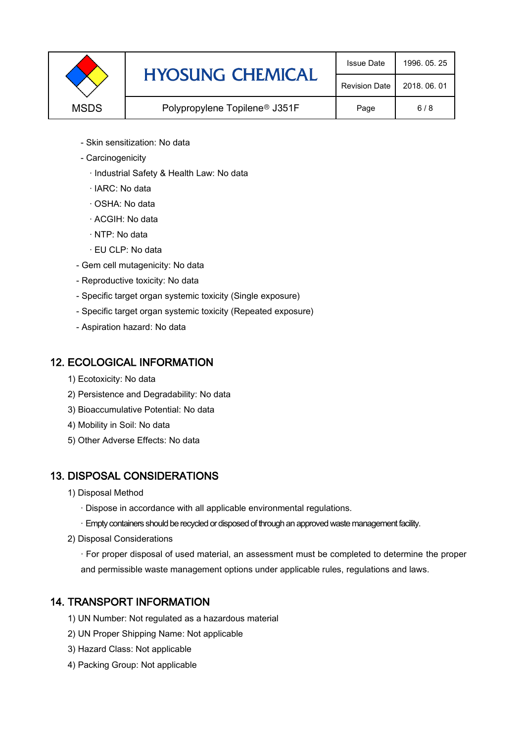|             | <b>HYOSUNG CHEMICAL</b>                   | <b>Issue Date</b>    | 1996, 05, 25 |
|-------------|-------------------------------------------|----------------------|--------------|
|             |                                           | <b>Revision Date</b> | 2018, 06, 01 |
| <b>MSDS</b> | Polypropylene Topilene <sup>®</sup> J351F |                      | 6/8          |

- Skin sensitization: No data
- Carcinogenicity
	- · Industrial Safety & Health Law: No data
	- · IARC: No data
	- · OSHA: No data
	- · ACGIH: No data
	- · NTP: No data
	- · EU CLP: No data
- Gem cell mutagenicity: No data
- Reproductive toxicity: No data
- Specific target organ systemic toxicity (Single exposure)
- Specific target organ systemic toxicity (Repeated exposure)
- Aspiration hazard: No data

#### 12. ECOLOGICAL INFORMATION

- 1) Ecotoxicity: No data
- 2) Persistence and Degradability: No data
- 3) Bioaccumulative Potential: No data
- 4) Mobility in Soil: No data
- 5) Other Adverse Effects: No data

## 13. DISPOSAL CONSIDERATIONS

- 1) Disposal Method
	- · Dispose in accordance with all applicable environmental regulations.
	- · Empty containers should be recycled or disposed of through an approved waste management facility.
- 2) Disposal Considerations
	- · For proper disposal of used material, an assessment must be completed to determine the proper and permissible waste management options under applicable rules, regulations and laws.

## 14. TRANSPORT INFORMATION

- 1) UN Number: Not regulated as a hazardous material
- 2) UN Proper Shipping Name: Not applicable
- 3) Hazard Class: Not applicable
- 4) Packing Group: Not applicable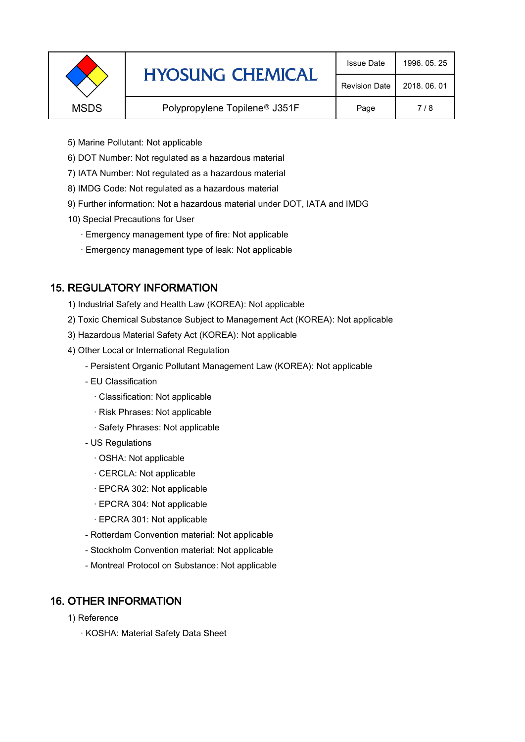|             | <b>HYOSUNG CHEMICAL</b>                   | <b>Issue Date</b>    | 1996, 05, 25 |
|-------------|-------------------------------------------|----------------------|--------------|
|             |                                           | <b>Revision Date</b> | 2018, 06, 01 |
| <b>MSDS</b> | Polypropylene Topilene <sup>®</sup> J351F | Page                 | 7/8          |
|             |                                           |                      |              |

- 5) Marine Pollutant: Not applicable
- 6) DOT Number: Not regulated as a hazardous material
- 7) IATA Number: Not regulated as a hazardous material
- 8) IMDG Code: Not regulated as a hazardous material
- 9) Further information: Not a hazardous material under DOT, IATA and IMDG
- 10) Special Precautions for User
	- · Emergency management type of fire: Not applicable
	- · Emergency management type of leak: Not applicable

## 15. REGULATORY INFORMATION

- 1) Industrial Safety and Health Law (KOREA): Not applicable
- 2) Toxic Chemical Substance Subject to Management Act (KOREA): Not applicable
- 3) Hazardous Material Safety Act (KOREA): Not applicable
- 4) Other Local or International Regulation
	- Persistent Organic Pollutant Management Law (KOREA): Not applicable
	- EU Classification
		- · Classification: Not applicable
		- · Risk Phrases: Not applicable
		- · Safety Phrases: Not applicable
	- US Regulations
		- · OSHA: Not applicable
		- · CERCLA: Not applicable
		- · EPCRA 302: Not applicable
		- · EPCRA 304: Not applicable
		- · EPCRA 301: Not applicable
	- Rotterdam Convention material: Not applicable
	- Stockholm Convention material: Not applicable
	- Montreal Protocol on Substance: Not applicable

## 16. OTHER INFORMATION

- 1) Reference
	- · KOSHA: Material Safety Data Sheet